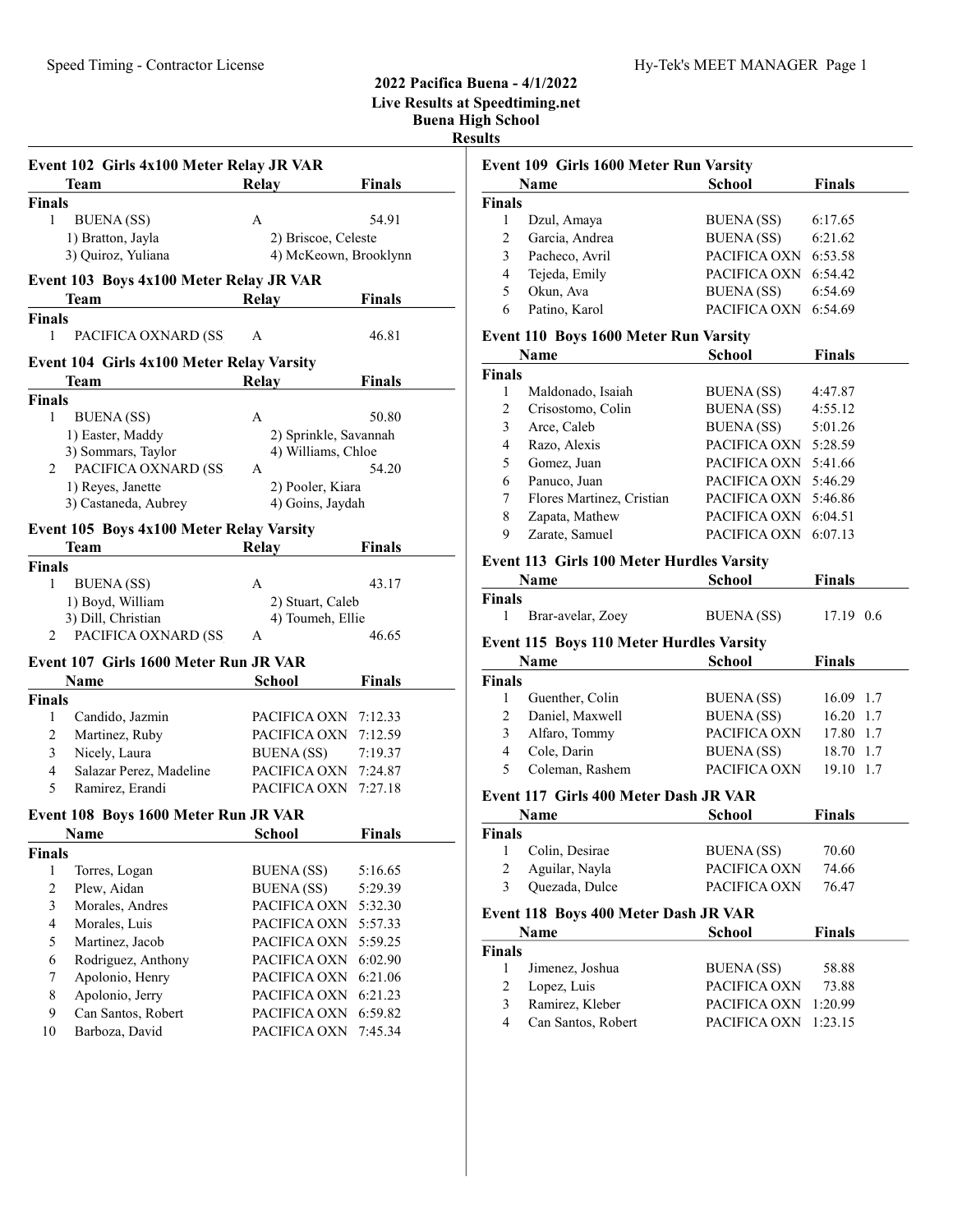| Speed Thinnig - Contractor License                      |       |                       | 2022 Pacifica Buena - 4/1/2022<br>Live Results at Speedtiming.net<br><b>Buena High School</b><br><b>Results</b> |
|---------------------------------------------------------|-------|-----------------------|-----------------------------------------------------------------------------------------------------------------|
| Event 102 Girls 4x100 Meter Relay JR VAR<br><b>Team</b> | Relay | <b>Finals</b>         | <b>Event 109 Girls 1600</b><br><b>Name</b>                                                                      |
| <b>Finals</b>                                           |       |                       | <b>Finals</b>                                                                                                   |
| BUENA (SS)<br>1                                         | A     | 54.91                 | Dzul, Amaya<br>1                                                                                                |
| 1) Bratton, Jayla                                       |       | 2) Briscoe, Celeste   | 2<br>Garcia, Andrea                                                                                             |
| 3) Quiroz, Yuliana                                      |       | 4) McKeown, Brooklynn | 3<br>Pacheco, Avril                                                                                             |
| Event 103 Boys 4x100 Meter Relay JR VAR                 |       |                       | Tejeda, Emily<br>4                                                                                              |
| Team                                                    | Relay | Finals                | Okun, Ava<br>5                                                                                                  |
| <b>Finals</b>                                           |       |                       | 6<br>Patino, Karol                                                                                              |
| PACIFICA OXNARD (SS)<br>1                               | A     | 46.81                 | <b>Event 110 Boys 1600</b>                                                                                      |
| <b>Event 104 Girls 4x100 Meter Relay Varsity</b>        |       |                       | <b>Name</b>                                                                                                     |
| Team                                                    | Relav | Finals                | <b>Finals</b><br>$1$ $M11$ $I$ $I$                                                                              |

## Finals 1 BUENA (SS) A 50.80 1) Easter, Maddy 2) Sprinkle, Savannah<br>
3) Sommars, Taylor 4) Williams, Chloe 3) Sommars, Taylor 2 PACIFICA OXNARD (SS A 54.20 1) Reyes, Janette 2) Pooler, Kiara 3) Castaneda, Aubrey 4) Goins, Jaydah

#### Event 105 Boys 4x100 Meter Relay Varsity

| Team                | Relay            | Finals           |  |
|---------------------|------------------|------------------|--|
| <b>Finals</b>       |                  |                  |  |
| <b>BUENA</b> (SS)   | А                | 43.17            |  |
| 1) Boyd, William    | 2) Stuart, Caleb |                  |  |
| 3) Dill, Christian  |                  | 4) Toumeh, Ellie |  |
| PACIFICA OXNARD (SS | А                | 46.65            |  |
|                     |                  |                  |  |

## Event 107 Girls 1600 Meter Run JR VAR

|               | <b>Name</b>             | School               | <b>Finals</b> |
|---------------|-------------------------|----------------------|---------------|
| <b>Finals</b> |                         |                      |               |
|               | Candido, Jazmin         | PACIFICA OXN 7:12.33 |               |
| 2             | Martinez, Ruby          | PACIFICA OXN 7:12.59 |               |
| 3             | Nicely, Laura           | BUENA $(SS)$ 7:19.37 |               |
| 4             | Salazar Perez, Madeline | PACIFICA OXN 7:24.87 |               |
| 5             | Ramirez, Erandi         | PACIFICA OXN 7:27.18 |               |

#### Event 108 Boys 1600 Meter Run JR VAR

|               | <b>Name</b>        | School            | <b>Finals</b> |
|---------------|--------------------|-------------------|---------------|
| <b>Finals</b> |                    |                   |               |
| 1             | Torres, Logan      | <b>BUENA</b> (SS) | 5:16.65       |
| 2             | Plew, Aidan        | <b>BUENA</b> (SS) | 5:29.39       |
| 3             | Morales, Andres    | PACIFICA OXN      | 5:32.30       |
| 4             | Morales, Luis      | PACIFICA OXN      | 5:57.33       |
| 5             | Martinez, Jacob    | PACIFICA OXN      | 5:59.25       |
| 6             | Rodriguez, Anthony | PACIFICA OXN      | 6:02.90       |
| 7             | Apolonio, Henry    | PACIFICA OXN      | 6:21.06       |
| 8             | Apolonio, Jerry    | PACIFICA OXN      | 6:21.23       |
| 9             | Can Santos, Robert | PACIFICA OXN      | 6:59.82       |
| 10            | Barboza, David     | PACIFICA OXN      | 7:45.34       |

# **Meter Run Varsity** Name School Finals

| `inals |                |                      |         |
|--------|----------------|----------------------|---------|
|        | Dzul, Amaya    | <b>BUENA</b> (SS)    | 6:17.65 |
|        | Garcia, Andrea | <b>BUENA</b> (SS)    | 6:21.62 |
| 3      | Pacheco, Avril | PACIFICA OXN 6:53.58 |         |
|        | Tejeda, Emily  | PACIFICA OXN 6:54.42 |         |
|        | Okun, Ava      | BUENA (SS)           | 6:54.69 |
|        | Patino, Karol  | PACIFICA OXN 6:54.69 |         |
|        |                |                      |         |

#### **Meter Run Varsity**

| Name                      | School               | <b>Finals</b> |
|---------------------------|----------------------|---------------|
| ∛inals                    |                      |               |
| Maldonado, Isaiah         | <b>BUENA</b> (SS)    | 4:47.87       |
| Crisostomo, Colin         | <b>BUENA</b> (SS)    | 4:55.12       |
| Arce, Caleb               | <b>BUENA</b> (SS)    | 5:01.26       |
| Razo, Alexis              | PACIFICA OXN         | 5:28.59       |
| Gomez, Juan               | PACIFICA OXN         | 5:41.66       |
| Panuco, Juan              | PACIFICA OXN 5:46.29 |               |
| Flores Martinez, Cristian | PACIFICA OXN         | 5:46.86       |
| Zapata, Mathew            | PACIFICA OXN         | 6:04.51       |
| Zarate, Samuel            | PACIFICA OXN         | 6:07.13       |
|                           |                      |               |

#### Event 113 Girls 100 Meter Hurdles Varsity

| <b>Name</b>       | School     | <b>Finals</b> |
|-------------------|------------|---------------|
| <b>Finals</b>     |            |               |
| Brar-avelar, Zoey | BUENA (SS) | 17.19 0.6     |

# Event 115 Boys 110 Meter Hurdles Varsity

|               | <b>Name</b>                                  | <b>School</b>     | <b>Finals</b> |
|---------------|----------------------------------------------|-------------------|---------------|
| <b>Finals</b> |                                              |                   |               |
| 1             | Guenther, Colin                              | BUENA (SS)        | 16.09 1.7     |
| 2             | Daniel, Maxwell                              | <b>BUENA</b> (SS) | 16.20 1.7     |
| 3             | Alfaro, Tommy                                | PACIFICA OXN      | 17.80 1.7     |
| 4             | Cole, Darin                                  | <b>BUENA</b> (SS) | 18.70 1.7     |
| 5             | Coleman, Rashem                              | PACIFICA OXN      | 19.10 1.7     |
|               | Event 117 Girls 400 Meter Dash JR VAR        |                   |               |
|               | Name                                         | <b>School</b>     | <b>Finals</b> |
| <b>Finals</b> |                                              |                   |               |
| 1             | Colin, Desirae                               | <b>BUENA</b> (SS) | 70.60         |
| 2             | Aguilar, Nayla                               | PACIFICA OXN      | 74.66         |
| 3             | Quezada, Dulce                               | PACIFICA OXN      | 76.47         |
|               | <b>Fvent 118. Roys 400 Meter Dash IR VAR</b> |                   |               |

|        | EVEIII 110 DOVS 400 MEIEF DASII JN VAN |                      |               |  |
|--------|----------------------------------------|----------------------|---------------|--|
|        | Name                                   | School               | <b>Finals</b> |  |
| Finals |                                        |                      |               |  |
|        | Jimenez, Joshua                        | BUENA (SS)           | 58.88         |  |
|        | Lopez, Luis                            | PACIFICA OXN         | 73.88         |  |
|        | Ramirez, Kleber                        | PACIFICA OXN 1:20.99 |               |  |
|        | Can Santos, Robert                     | PACIFICA OXN 1:23.15 |               |  |
|        |                                        |                      |               |  |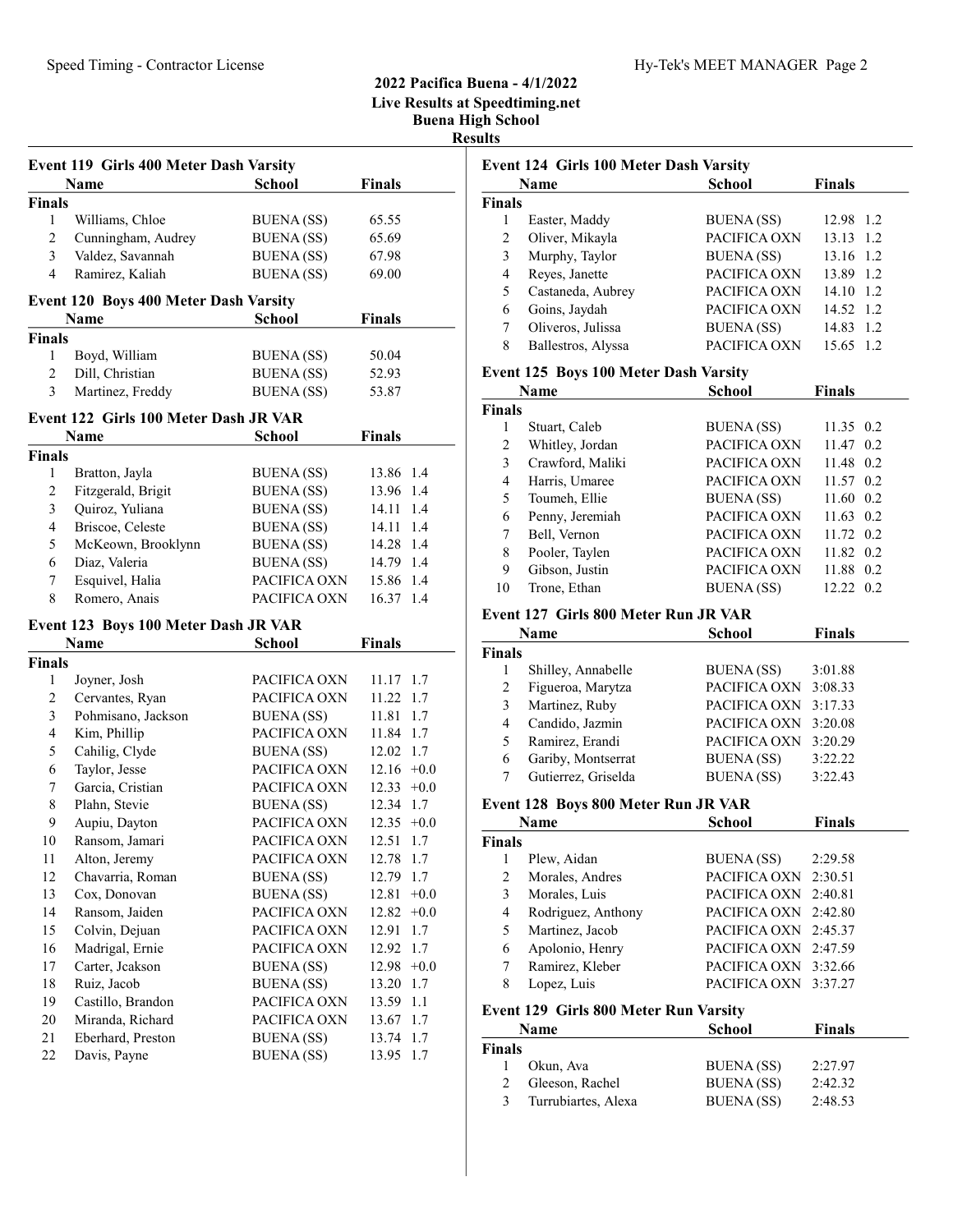## 2022 Pacifica Buena - 4/1/2022 Live Results at Speedtiming.net Buena High School Results

| Event 119 Girls 400 Meter Dash Varsity |                                       |                                        |                |            |
|----------------------------------------|---------------------------------------|----------------------------------------|----------------|------------|
|                                        | Name                                  | <b>School</b>                          | Finals         |            |
| <b>Finals</b>                          |                                       |                                        |                |            |
| $\mathbf{1}$                           | Williams, Chloe                       | <b>BUENA</b> (SS)                      | 65.55          |            |
| $\overline{2}$                         | Cunningham, Audrey                    | <b>BUENA</b> (SS)                      | 65.69          |            |
| 3                                      | Valdez, Savannah                      | <b>BUENA</b> (SS)                      | 67.98          |            |
| 4                                      | Ramirez, Kaliah                       | <b>BUENA</b> (SS)                      | 69.00          |            |
|                                        |                                       |                                        |                |            |
|                                        | Event 120 Boys 400 Meter Dash Varsity |                                        |                |            |
|                                        | Name                                  | School                                 | Finals         |            |
| <b>Finals</b>                          |                                       |                                        |                |            |
| 1                                      | Boyd, William                         | <b>BUENA</b> (SS)                      | 50.04          |            |
| $\overline{2}$                         | Dill, Christian                       | <b>BUENA</b> (SS)                      | 52.93          |            |
| 3                                      | Martinez, Freddy                      | <b>BUENA</b> (SS)                      | 53.87          |            |
|                                        | Event 122 Girls 100 Meter Dash JR VAR |                                        |                |            |
|                                        | Name                                  | School                                 | <b>Finals</b>  |            |
| <b>Finals</b>                          |                                       |                                        |                |            |
| 1                                      | Bratton, Jayla                        | <b>BUENA</b> (SS)                      | 13.86          | 1.4        |
| $\overline{2}$                         | Fitzgerald, Brigit                    | <b>BUENA</b> (SS)                      | 13.96          | 1.4        |
| 3                                      | Quiroz, Yuliana                       | <b>BUENA</b> (SS)                      | 14.11          | 1.4        |
| 4                                      | Briscoe, Celeste                      | <b>BUENA</b> (SS)                      | 14.11          | 1.4        |
| 5                                      | McKeown, Brooklynn                    | <b>BUENA</b> (SS)                      | 14.28          | 1.4        |
| 6                                      | Diaz, Valeria                         | <b>BUENA</b> (SS)                      | 14.79 1.4      |            |
| 7                                      | Esquivel, Halia                       | PACIFICA OXN                           | 15.86 1.4      |            |
| 8                                      | Romero, Anais                         | PACIFICA OXN                           | 16.37 1.4      |            |
|                                        | Event 123 Boys 100 Meter Dash JR VAR  |                                        |                |            |
|                                        | <b>Name</b>                           | School                                 | <b>Finals</b>  |            |
| <b>Finals</b>                          |                                       |                                        |                |            |
| 1                                      | Joyner, Josh                          | PACIFICA OXN                           | 11.17          | 1.7        |
| 2                                      | Cervantes, Ryan                       | PACIFICA OXN                           | 11.22          | 1.7        |
| 3                                      | Pohmisano, Jackson                    | <b>BUENA</b> (SS)                      | 11.81          | 1.7        |
| 4                                      |                                       |                                        |                |            |
|                                        |                                       |                                        |                |            |
|                                        | Kim, Phillip                          | PACIFICA OXN                           | 11.84 1.7      |            |
| 5                                      | Cahilig, Clyde                        | <b>BUENA</b> (SS)                      | 12.02 1.7      |            |
| 6                                      | Taylor, Jesse                         | PACIFICA OXN                           | $12.16 + 0.0$  |            |
| 7                                      | Garcia, Cristian                      | PACIFICA OXN                           | $12.33 +0.0$   |            |
| 8                                      | Plahn, Stevie                         | <b>BUENA</b> (SS)                      | 12.34 1.7      |            |
| 9                                      | Aupiu, Dayton                         | PACIFICA OXN                           | $12.35 +0.0$   |            |
| 10                                     | Ransom, Jamari                        | PACIFICA OXN                           | 12.51          | 1.7        |
| 11                                     | Alton, Jeremy                         | PACIFICA OXN                           | 12.78          | 1.7        |
| 12                                     | Chavarria, Roman                      | <b>BUENA</b> (SS)                      | 12.79          | 1.7        |
| 13                                     | Cox, Donovan                          | <b>BUENA</b> (SS)                      | 12.81          | $+0.0\,$   |
| 14                                     | Ransom, Jaiden                        | PACIFICA OXN                           | 12.82          | $+0.0$     |
| 15                                     | Colvin, Dejuan                        | PACIFICA OXN                           | 12.91          | 1.7        |
| 16                                     | Madrigal, Ernie                       | PACIFICA OXN                           | 12.92          | 1.7        |
| 17                                     | Carter, Jeakson                       | <b>BUENA</b> (SS)                      | 12.98          | $+0.0$     |
| 18                                     | Ruiz, Jacob                           | <b>BUENA</b> (SS)                      | 13.20          | 1.7        |
| 19                                     | Castillo, Brandon                     | PACIFICA OXN                           | 13.59          | 1.1        |
| 20                                     | Miranda, Richard                      | PACIFICA OXN                           | 13.67          | 1.7        |
| 21<br>22                               | Eberhard, Preston<br>Davis, Payne     | <b>BUENA</b> (SS)<br><b>BUENA</b> (SS) | 13.74<br>13.95 | 1.7<br>1.7 |

| Event 124 Girls 100 Meter Dash Varsity |                                                    |                   |               |  |
|----------------------------------------|----------------------------------------------------|-------------------|---------------|--|
|                                        | Name                                               | <b>School</b>     | <b>Finals</b> |  |
| <b>Finals</b>                          |                                                    |                   |               |  |
| 1                                      | Easter, Maddy                                      | <b>BUENA(SS)</b>  | 12.98 1.2     |  |
| 2                                      | Oliver, Mikayla                                    | PACIFICA OXN      | 13.13<br>1.2  |  |
| 3                                      | Murphy, Taylor                                     | <b>BUENA</b> (SS) | 13.16<br>1.2  |  |
| 4                                      | Reyes, Janette                                     | PACIFICA OXN      | 13.89 1.2     |  |
| 5                                      | Castaneda, Aubrey                                  | PACIFICA OXN      | 14.10 1.2     |  |
| 6                                      | Goins, Jaydah                                      | PACIFICA OXN      | 14.52 1.2     |  |
| 7                                      | Oliveros, Julissa                                  | <b>BUENA</b> (SS) | 14.83 1.2     |  |
| 8                                      | Ballestros, Alyssa                                 | PACIFICA OXN      | 15.65 1.2     |  |
|                                        | Event 125 Boys 100 Meter Dash Varsity              |                   |               |  |
|                                        | Name                                               | <b>School</b>     | <b>Finals</b> |  |
| <b>Finals</b>                          |                                                    |                   |               |  |
| 1                                      | Stuart, Caleb                                      | <b>BUENA</b> (SS) | 11.35 0.2     |  |
| 2                                      | Whitley, Jordan                                    | PACIFICA OXN      | 0.2<br>11.47  |  |
| 3                                      | Crawford, Maliki                                   | PACIFICA OXN      | 11.48 0.2     |  |
| $\overline{\mathbf{4}}$                | Harris, Umaree                                     | PACIFICA OXN      | 11.57 0.2     |  |
| 5                                      | Toumeh, Ellie                                      | <b>BUENA(SS)</b>  | 11.60 0.2     |  |
| 6                                      | Penny, Jeremiah                                    | PACIFICA OXN      | 11.63 0.2     |  |
| 7                                      | Bell, Vernon                                       | PACIFICA OXN      | 11.72 0.2     |  |
| $\,$ $\,$                              | Pooler, Taylen                                     | PACIFICA OXN      | 11.82 0.2     |  |
| 9                                      | Gibson, Justin                                     | PACIFICA OXN      | 11.88 0.2     |  |
| 10                                     | Trone, Ethan                                       | <b>BUENA</b> (SS) | 12.22 0.2     |  |
|                                        | Event 127 Girls 800 Meter Run JR VAR               |                   |               |  |
|                                        | Name                                               | <b>School</b>     | <b>Finals</b> |  |
| <b>Finals</b>                          |                                                    |                   |               |  |
| 1                                      | Shilley, Annabelle                                 | <b>BUENA</b> (SS) | 3:01.88       |  |
| 2                                      | Figueroa, Marytza                                  | PACIFICA OXN      | 3:08.33       |  |
| 3                                      | Martinez, Ruby                                     | PACIFICA OXN      | 3:17.33       |  |
| $\overline{4}$                         | Candido, Jazmin                                    | PACIFICA OXN      | 3:20.08       |  |
| 5                                      | Ramirez, Erandi                                    | PACIFICA OXN      | 3:20.29       |  |
| 6                                      | Gariby, Montserrat                                 | BUENA (SS)        | 3:22.22       |  |
| 7                                      | Gutierrez, Griselda                                | <b>BUENA</b> (SS) | 3:22.43       |  |
|                                        |                                                    |                   |               |  |
|                                        | Event 128 Boys 800 Meter Run JR VAR<br><b>Name</b> | <b>School</b>     | <b>Finals</b> |  |
|                                        |                                                    |                   |               |  |
| <b>Finals</b><br>1                     | Plew, Aidan                                        | <b>BUENA</b> (SS) | 2:29.58       |  |
|                                        | Morales, Andres                                    | PACIFICA OXN      | 2:30.51       |  |
| 2<br>3                                 | Morales, Luis                                      |                   |               |  |
|                                        |                                                    | PACIFICA OXN      | 2:40.81       |  |
| 4                                      | Rodriguez, Anthony                                 | PACIFICA OXN      | 2:42.80       |  |
| 5                                      | Martinez, Jacob                                    | PACIFICA OXN      | 2:45.37       |  |
| 6                                      | Apolonio, Henry                                    | PACIFICA OXN      | 2:47.59       |  |
| 7                                      | Ramirez, Kleber                                    | PACIFICA OXN      | 3:32.66       |  |
| 8                                      | Lopez, Luis                                        | PACIFICA OXN      | 3:37.27       |  |
|                                        | <b>Event 129 Girls 800 Meter Run Varsity</b>       |                   |               |  |
|                                        | Name                                               | School            | Finals        |  |
| <b>Finals</b>                          |                                                    |                   |               |  |
| 1                                      | Okun, Ava                                          | <b>BUENA</b> (SS) | 2:27.97       |  |
| 2                                      | Gleeson, Rachel                                    | <b>BUENA</b> (SS) | 2:42.32       |  |
| 3                                      | Turrubiartes, Alexa                                | <b>BUENA(SS)</b>  | 2:48.53       |  |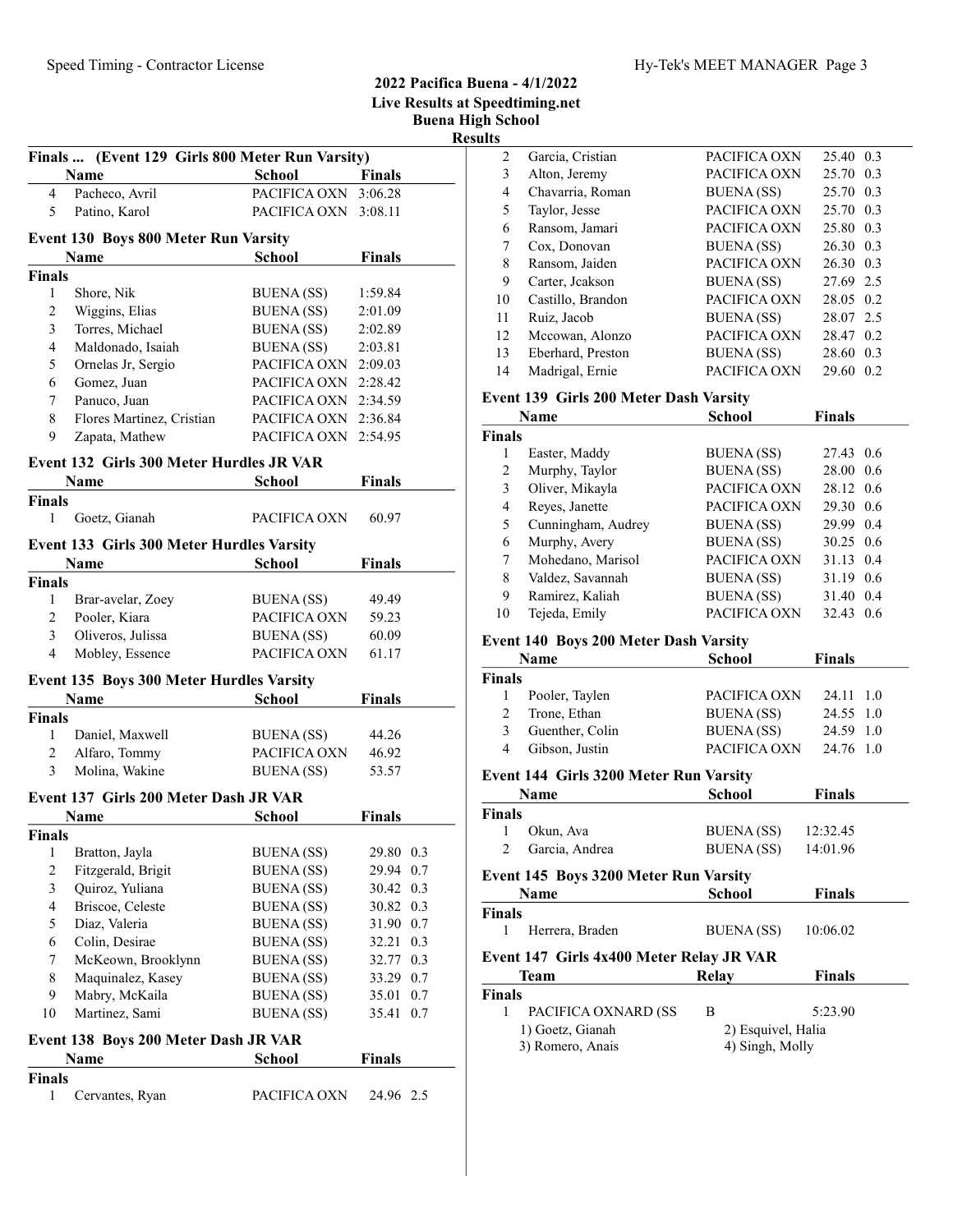|                |                                                         |                      |               | <b>Buena</b> H       |
|----------------|---------------------------------------------------------|----------------------|---------------|----------------------|
|                |                                                         |                      |               | $\mathbf{R}\epsilon$ |
|                | Finals  (Event 129 Girls 800 Meter Run Varsity)<br>Name | <b>School</b>        | <b>Finals</b> |                      |
| 4              | Pacheco, Avril                                          | PACIFICA OXN 3:06.28 |               |                      |
| 5              | Patino, Karol                                           | PACIFICA OXN 3:08.11 |               |                      |
|                |                                                         |                      |               |                      |
|                | <b>Event 130 Boys 800 Meter Run Varsity</b>             |                      |               |                      |
|                | Name                                                    | School               | <b>Finals</b> |                      |
| <b>Finals</b>  |                                                         |                      |               |                      |
| 1              | Shore, Nik                                              | BUENA (SS)           | 1:59.84       |                      |
| 2              | Wiggins, Elias                                          | BUENA (SS)           | 2:01.09       |                      |
| 3              | Torres, Michael                                         | BUENA (SS)           | 2:02.89       |                      |
| 4              | Maldonado, Isaiah                                       | BUENA (SS)           | 2:03.81       |                      |
| 5              | Ornelas Jr, Sergio                                      | PACIFICA OXN 2:09.03 |               |                      |
| 6              | Gomez, Juan                                             | PACIFICA OXN 2:28.42 |               |                      |
| 7              | Panuco, Juan                                            | PACIFICA OXN 2:34.59 |               |                      |
| 8              | Flores Martinez, Cristian                               | PACIFICA OXN 2:36.84 |               |                      |
| 9              | Zapata, Mathew                                          | PACIFICA OXN         | 2:54.95       |                      |
|                | Event 132 Girls 300 Meter Hurdles JR VAR                |                      |               |                      |
|                | Name                                                    | <b>School</b>        | <b>Finals</b> |                      |
| <b>Finals</b>  |                                                         |                      |               |                      |
| 1              | Goetz, Gianah                                           | PACIFICA OXN         | 60.97         |                      |
|                |                                                         |                      |               |                      |
|                | Event 133 Girls 300 Meter Hurdles Varsity               |                      |               |                      |
|                | Name                                                    | <b>School</b>        | <b>Finals</b> |                      |
| <b>Finals</b>  |                                                         |                      |               |                      |
| 1              | Brar-avelar, Zoey                                       | <b>BUENA</b> (SS)    | 49.49         |                      |
| $\overline{2}$ | Pooler, Kiara                                           | PACIFICA OXN         | 59.23         |                      |
| 3 <sup>7</sup> | Oliveros, Julissa                                       | <b>BUENA</b> (SS)    | 60.09         |                      |
| $\overline{4}$ | Mobley, Essence                                         | PACIFICA OXN         | 61.17         |                      |
|                | Event 135 Boys 300 Meter Hurdles Varsity                |                      |               |                      |
|                | Name                                                    | <b>School</b>        | <b>Finals</b> |                      |
| <b>Finals</b>  |                                                         |                      |               |                      |
| $\mathbf{1}$   | Daniel, Maxwell                                         | <b>BUENA</b> (SS)    | 44.26         |                      |
| $\overline{2}$ | Alfaro, Tommy                                           | PACIFICA OXN         | 46.92         |                      |
| 3              | Molina, Wakine                                          | <b>BUENA</b> (SS)    | 53.57         |                      |
|                | Event 137 Girls 200 Meter Dash JR VAR                   |                      |               |                      |
|                | Name                                                    | <b>School</b>        | Finals        |                      |
| <b>Finals</b>  |                                                         |                      |               |                      |
| 1              | Bratton, Jayla                                          | <b>BUENA</b> (SS)    | 29.80 0.3     |                      |
| 2              | Fitzgerald, Brigit                                      | <b>BUENA</b> (SS)    | 29.94 0.7     |                      |
| $\mathfrak{Z}$ | Quiroz, Yuliana                                         | <b>BUENA</b> (SS)    | 30.42 0.3     |                      |
| 4              | Briscoe, Celeste                                        | <b>BUENA</b> (SS)    | 30.82 0.3     |                      |
| 5              | Diaz, Valeria                                           | <b>BUENA</b> (SS)    | 31.90 0.7     |                      |
| 6              | Colin, Desirae                                          | <b>BUENA</b> (SS)    | 32.21 0.3     |                      |
| 7              | McKeown, Brooklynn                                      | BUENA (SS)           | 32.77 0.3     |                      |
| 8              | Maquinalez, Kasey                                       | BUENA (SS)           | 33.29 0.7     |                      |
| 9              | Mabry, McKaila                                          | <b>BUENA</b> (SS)    | 35.01 0.7     |                      |
| 10             | Martinez, Sami                                          | BUENA (SS)           | 35.41         | 0.7                  |
|                |                                                         |                      |               |                      |
|                | Event 138 Boys 200 Meter Dash JR VAR                    |                      |               |                      |
|                | Name                                                    | <b>School</b>        | <b>Finals</b> |                      |
| <b>Finals</b>  |                                                         |                      |               |                      |
| 1              | Cervantes, Ryan                                         | PACIFICA OXN         | 24.96 2.5     |                      |
|                |                                                         |                      |               |                      |

## 2022 Pacifica Buena - 4/1/2022 Live Results at Speedtiming.net **High School** esults

| $\mathfrak{D}$ | Garcia, Cristian  | PACIFICA OXN      | 25.40 0.3    |
|----------------|-------------------|-------------------|--------------|
| 3              | Alton, Jeremy     | PACIFICA OXN      | 25.70<br>0.3 |
| 4              | Chavarria, Roman  | <b>BUENA</b> (SS) | 25.70<br>0.3 |
| 5              | Taylor, Jesse     | PACIFICA OXN      | 25.70 0.3    |
| 6              | Ransom, Jamari    | PACIFICA OXN      | 25.80 0.3    |
| 7              | Cox, Donovan      | <b>BUENA</b> (SS) | 26.30 0.3    |
| 8              | Ransom, Jaiden    | PACIFICA OXN      | 26.30 0.3    |
| 9              | Carter, Jeakson   | <b>BUENA</b> (SS) | 27.69 2.5    |
| 10             | Castillo, Brandon | PACIFICA OXN      | 28.05 0.2    |
| 11             | Ruiz, Jacob       | <b>BUENA</b> (SS) | 28.07 2.5    |
| 12             | Mccowan, Alonzo   | PACIFICA OXN      | 28.47<br>0.2 |
| 13             | Eberhard, Preston | <b>BUENA</b> (SS) | 28.60<br>0.3 |
| 14             | Madrigal, Ernie   | PACIFICA OXN      | 29.60<br>0.2 |
|                |                   |                   |              |

#### Event 139 Girls 200 Meter Dash Varsity

| Name          |                    | <b>School</b>     | <b>Finals</b>     |  |
|---------------|--------------------|-------------------|-------------------|--|
| <b>Finals</b> |                    |                   |                   |  |
| 1             | Easter, Maddy      | <b>BUENA</b> (SS) | 27.43 0.6         |  |
| 2             | Murphy, Taylor     | <b>BUENA</b> (SS) | 28.00 0.6         |  |
| 3             | Oliver, Mikayla    | PACIFICA OXN      | 28.12 0.6         |  |
| 4             | Reyes, Janette     | PACIFICA OXN      | 29.30 0.6         |  |
| 5             | Cunningham, Audrey | <b>BUENA</b> (SS) | 29.99 0.4         |  |
| 6             | Murphy, Avery      | <b>BUENA</b> (SS) | $30.25 \quad 0.6$ |  |
| 7             | Mohedano, Marisol  | PACIFICA OXN      | 31.13 0.4         |  |
| 8             | Valdez, Savannah   | <b>BUENA</b> (SS) | 31.19 0.6         |  |
| 9             | Ramirez, Kaliah    | <b>BUENA</b> (SS) | 31.40 0.4         |  |
| 10            | Tejeda, Emily      | PACIFICA OXN      | 32.43<br>0.6      |  |

## Event 140 Boys 200 Meter Dash Varsity

| <b>Name</b> |                 | <b>School</b> | <b>Finals</b>     |
|-------------|-----------------|---------------|-------------------|
| Finals      |                 |               |                   |
|             | Pooler, Taylen  | PACIFICA OXN  | $24.11 \quad 1.0$ |
| 2           | Trone, Ethan    | BUENA (SS)    | 24.55 1.0         |
|             | Guenther, Colin | BUENA (SS)    | 24.59 1.0         |
|             | Gibson, Justin  | PACIFICA OXN  | 24.76 1.0         |

# Event 144 Girls 3200 Meter Run Varsity

|               | <b>Name</b>                                  | <b>School</b> | <b>Finals</b> |  |
|---------------|----------------------------------------------|---------------|---------------|--|
| <b>Finals</b> |                                              |               |               |  |
| 1             | Okun, Ava                                    | BUENA (SS)    | 12:32.45      |  |
| 2             | Garcia, Andrea                               | BUENA (SS)    | 14:01.96      |  |
|               | <b>Event 145 Boys 3200 Meter Run Varsity</b> |               | ≖.            |  |

# Name School Finals Finals 1 Herrera, Braden BUENA (SS) 10:06.02 Event 147 Girls 4x400 Meter Relay JR VAR Team Relay Finals Finals

| PACIFICA OXNARD (SS) | 5:23.90            |  |
|----------------------|--------------------|--|
| 1) Goetz, Gianah     | 2) Esquivel, Halia |  |
| 3) Romero, Anais     | 4) Singh, Molly    |  |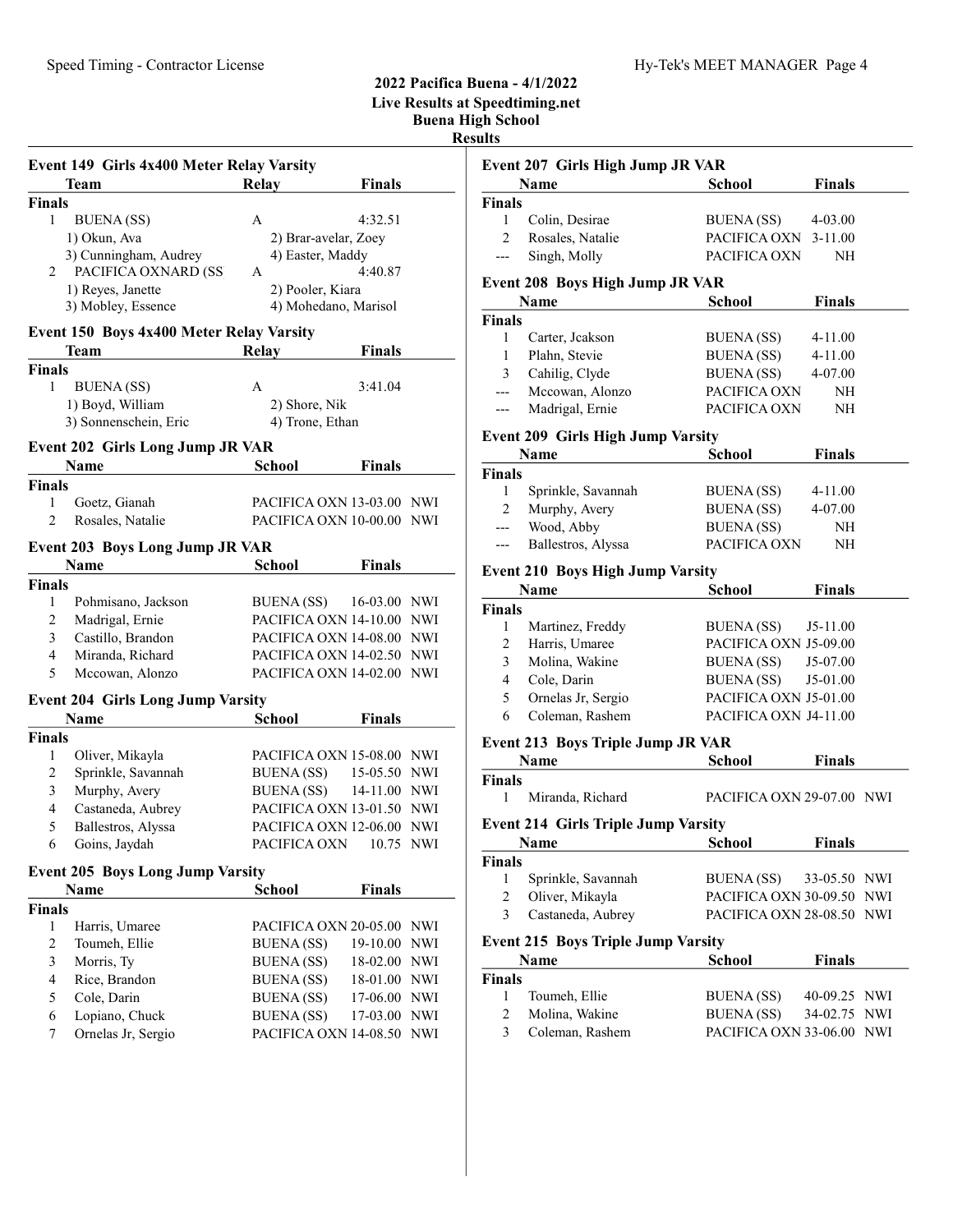#### 2022 Pacifica Buena - 4/1/2022 Live Results at Speedtiming.net Buena High School Res

| <b>Event 149 Girls 4x400 Meter Relay Varsity</b> |                                          |                   |                           |            |
|--------------------------------------------------|------------------------------------------|-------------------|---------------------------|------------|
|                                                  | Team                                     | Relay             | <b>Finals</b>             |            |
| <b>Finals</b>                                    |                                          |                   |                           |            |
| 1                                                | <b>BUENA</b> (SS)                        | A                 | 4:32.51                   |            |
|                                                  | 1) Okun, Ava                             |                   | 2) Brar-avelar, Zoey      |            |
|                                                  | 3) Cunningham, Audrey                    | 4) Easter, Maddy  |                           |            |
| 2                                                | PACIFICA OXNARD (SS)                     | A                 | 4:40.87                   |            |
|                                                  | 1) Reyes, Janette                        | 2) Pooler, Kiara  |                           |            |
|                                                  | 3) Mobley, Essence                       |                   | 4) Mohedano, Marisol      |            |
|                                                  | Event 150 Boys 4x400 Meter Relay Varsity |                   |                           |            |
|                                                  | Team                                     | Relay             | <b>Finals</b>             |            |
| <b>Finals</b>                                    |                                          |                   |                           |            |
| $\mathbf{1}$                                     | <b>BUENA</b> (SS)                        | А                 | 3:41.04                   |            |
|                                                  | 1) Boyd, William                         | 2) Shore, Nik     |                           |            |
|                                                  | 3) Sonnenschein, Eric                    | 4) Trone, Ethan   |                           |            |
|                                                  |                                          |                   |                           |            |
|                                                  | <b>Event 202 Girls Long Jump JR VAR</b>  |                   |                           |            |
|                                                  | <b>Name</b>                              | <b>School</b>     | <b>Finals</b>             |            |
| <b>Finals</b>                                    |                                          |                   |                           |            |
| 1                                                | Goetz, Gianah                            |                   | PACIFICA OXN 13-03.00 NWI |            |
| 2                                                | Rosales, Natalie                         |                   | PACIFICA OXN 10-00.00 NWI |            |
| <b>Event 203 Boys Long Jump JR VAR</b>           |                                          |                   |                           |            |
|                                                  | Name                                     | School            | <b>Finals</b>             |            |
| <b>Finals</b>                                    |                                          |                   |                           |            |
| 1                                                | Pohmisano, Jackson                       | BUENA (SS)        | 16-03.00 NWI              |            |
| 2                                                | Madrigal, Ernie                          |                   | PACIFICA OXN 14-10.00 NWI |            |
| 3                                                | Castillo, Brandon                        |                   | PACIFICA OXN 14-08.00 NWI |            |
| 4                                                | Miranda, Richard                         |                   | PACIFICA OXN 14-02.50 NWI |            |
| 5                                                | Mccowan, Alonzo                          |                   | PACIFICA OXN 14-02.00 NWI |            |
|                                                  |                                          |                   |                           |            |
|                                                  | <b>Event 204 Girls Long Jump Varsity</b> |                   |                           |            |
|                                                  | <b>Name</b>                              | <b>School</b>     | <b>Finals</b>             |            |
| <b>Finals</b>                                    |                                          |                   |                           |            |
| 1                                                | Oliver, Mikayla                          |                   | PACIFICA OXN 15-08.00 NWI |            |
| 2                                                | Sprinkle, Savannah                       |                   | BUENA (SS) 15-05.50 NWI   |            |
| 3                                                | Murphy, Avery                            | <b>BUENA</b> (SS) | 14-11.00 NWI              |            |
| 4                                                | Castaneda, Aubrey                        |                   | PACIFICA OXN 13-01.50 NWI |            |
| 5                                                | Ballestros, Alyssa                       |                   | PACIFICA OXN 12-06.00 NWI |            |
| 6                                                | Goins, Jaydah                            | PACIFICA OXN      | 10.75                     | NWI        |
|                                                  |                                          |                   |                           |            |
|                                                  | <b>Event 205 Boys Long Jump Varsity</b>  |                   |                           |            |
|                                                  | Name                                     | School            | <b>Finals</b>             |            |
| <b>Finals</b>                                    |                                          |                   |                           |            |
| 1                                                | Harris, Umaree                           |                   | PACIFICA OXN 20-05.00     | <b>NWI</b> |
| 2                                                | Toumeh, Ellie                            | <b>BUENA</b> (SS) | 19-10.00                  | NWI        |
| 3                                                | Morris, Ty                               | <b>BUENA</b> (SS) | 18-02.00                  | NWI        |
| 4                                                | Rice, Brandon                            | <b>BUENA</b> (SS) | 18-01.00                  | <b>NWI</b> |
| 5                                                | Cole, Darin                              | <b>BUENA</b> (SS) | 17-06.00                  | <b>NWI</b> |
| 6                                                | Lopiano, Chuck                           | <b>BUENA</b> (SS) | 17-03.00                  | NWI        |
| 7                                                | Ornelas Jr, Sergio                       |                   | PACIFICA OXN 14-08.50     | NWI        |

| sults          |                                            |                                            |               |            |
|----------------|--------------------------------------------|--------------------------------------------|---------------|------------|
|                | Event 207 Girls High Jump JR VAR           |                                            |               |            |
|                | Name                                       | School                                     | <b>Finals</b> |            |
| <b>Finals</b>  |                                            |                                            |               |            |
| 1              | Colin, Desirae                             | BUENA (SS)                                 | 4-03.00       |            |
| 2              | Rosales, Natalie                           | PACIFICA OXN 3-11.00                       |               |            |
| ---            | Singh, Molly                               | PACIFICA OXN                               | NH            |            |
|                | <b>Event 208 Boys High Jump JR VAR</b>     |                                            |               |            |
|                | <b>Name</b>                                | <b>School</b>                              | <b>Finals</b> |            |
| <b>Finals</b>  |                                            |                                            |               |            |
| 1              | Carter, Jeakson                            | <b>BUENA</b> (SS)                          | 4-11.00       |            |
| 1              | Plahn, Stevie                              | <b>BUENA</b> (SS)                          | $4 - 11.00$   |            |
| 3              | Cahilig, Clyde                             | BUENA (SS)                                 | 4-07.00       |            |
| $---$          | Mccowan, Alonzo                            | PACIFICA OXN                               | NH            |            |
| $---$          | Madrigal, Ernie                            | PACIFICA OXN                               | NΗ            |            |
|                | <b>Event 209 Girls High Jump Varsity</b>   |                                            |               |            |
|                | Name                                       | <b>School</b>                              | <b>Finals</b> |            |
| <b>Finals</b>  |                                            |                                            |               |            |
| 1              | Sprinkle, Savannah                         | BUENA (SS)                                 | 4-11.00       |            |
| $\overline{2}$ | Murphy, Avery                              | <b>BUENA</b> (SS)                          | 4-07.00       |            |
| $---$          | Wood, Abby                                 | <b>BUENA</b> (SS)                          | NH            |            |
| ---            | Ballestros, Alyssa                         | PACIFICA OXN                               | NH            |            |
|                | <b>Event 210 Boys High Jump Varsity</b>    |                                            |               |            |
|                | <b>Name</b>                                | <b>School</b>                              | <b>Finals</b> |            |
| <b>Finals</b>  |                                            |                                            |               |            |
| 1              | Martinez, Freddy                           | <b>BUENA</b> (SS)                          | J5-11.00      |            |
| 2              | Harris, Umaree                             | PACIFICA OXN J5-09.00                      |               |            |
| 3              | Molina, Wakine                             |                                            |               |            |
| 4              | Cole, Darin                                | BUENA (SS) J5-07.00<br>BUENA (SS) J5-01.00 |               |            |
|                |                                            | PACIFICA OXN J5-01.00                      |               |            |
| 5<br>6         | Ornelas Jr, Sergio<br>Coleman, Rashem      | PACIFICA OXN J4-11.00                      |               |            |
|                |                                            |                                            |               |            |
|                | Event 213 Boys Triple Jump JR VAR          |                                            |               |            |
|                | Name                                       | <b>School</b>                              | <b>Finals</b> |            |
| <b>Finals</b>  |                                            |                                            |               |            |
| 1              | Miranda, Richard                           | PACIFICA OXN 29-07.00 NWI                  |               |            |
|                | <b>Event 214 Girls Triple Jump Varsity</b> |                                            |               |            |
|                | Name                                       | <b>School</b>                              | <b>Finals</b> |            |
| <b>Finals</b>  |                                            |                                            |               |            |
| 1              | Sprinkle, Savannah                         | <b>BUENA</b> (SS)                          | 33-05.50      | NWI        |
| 2              | Oliver, Mikayla                            | PACIFICA OXN 30-09.50                      |               | NWI        |
| 3              | Castaneda, Aubrey                          | PACIFICA OXN 28-08.50                      |               | NWI        |
|                | <b>Event 215 Boys Triple Jump Varsity</b>  |                                            |               |            |
|                | Name                                       | School                                     | <b>Finals</b> |            |
| <b>Finals</b>  |                                            |                                            |               |            |
| 1              | Toumeh, Ellie                              | <b>BUENA</b> (SS)                          | 40-09.25 NWI  |            |
| 2              | Molina, Wakine                             | <b>BUENA</b> (SS)                          | 34-02.75      | <b>NWI</b> |
| 3              | Coleman, Rashem                            | PACIFICA OXN 33-06.00                      |               | <b>NWI</b> |